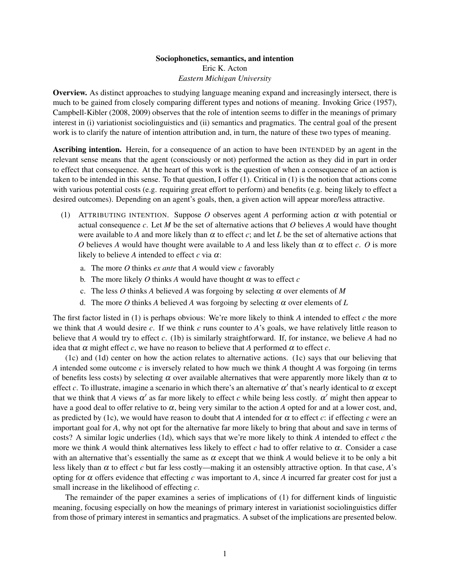## Sociophonetics, semantics, and intention Eric K. Acton *Eastern Michigan University*

Overview. As distinct approaches to studying language meaning expand and increasingly intersect, there is much to be gained from closely comparing different types and notions of meaning. Invoking [Grice](#page-2-0) [\(1957\)](#page-2-0), [Campbell-Kibler](#page-2-1) [\(2008,](#page-2-1) [2009\)](#page-2-2) observes that the role of intention seems to differ in the meanings of primary interest in (i) variationist sociolinguistics and (ii) semantics and pragmatics. The central goal of the present work is to clarify the nature of intention attribution and, in turn, the nature of these two types of meaning.

Ascribing intention. Herein, for a consequence of an action to have been INTENDED by an agent in the relevant sense means that the agent (consciously or not) performed the action as they did in part in order to effect that consequence. At the heart of this work is the question of when a consequence of an action is taken to be intended in this sense. To that question, I offer [\(1\)](#page-0-0). Critical in (1) is the notion that actions come with various potential costs (e.g. requiring great effort to perform) and benefits (e.g. being likely to effect a desired outcomes). Depending on an agent's goals, then, a given action will appear more/less attractive.

- <span id="page-0-0"></span>(1) ATTRIBUTING INTENTION. Suppose *O* observes agent *A* performing action α with potential or actual consequence *c*. Let *M* be the set of alternative actions that *O* believes *A* would have thought were available to *A* and more likely than  $\alpha$  to effect *c*; and let *L* be the set of alternative actions that *O* believes *A* would have thought were available to *A* and less likely than  $\alpha$  to effect *c*. *O* is more likely to believe *A* intended to effect  $c$  via  $\alpha$ :
	- a. The more *O* thinks *ex ante* that *A* would view *c* favorably
	- b. The more likely  $O$  thinks  $A$  would have thought  $\alpha$  was to effect  $c$
	- c. The less  $O$  thinks  $A$  believed  $A$  was forgoing by selecting  $\alpha$  over elements of  $M$
	- d. The more *O* thinks *A* believed *A* was forgoing by selecting  $\alpha$  over elements of *L*

<span id="page-0-3"></span><span id="page-0-2"></span><span id="page-0-1"></span>The first factor listed in [\(1\)](#page-0-0) is perhaps obvious: We're more likely to think *A* intended to effect *c* the more we think that *A* would desire *c*. If we think *c* runs counter to *A*'s goals, we have relatively little reason to believe that *A* would try to effect *c*. [\(1b\)](#page-0-1) is similarly straightforward. If, for instance, we believe *A* had no idea that  $\alpha$  might effect  $c$ , we have no reason to believe that  $A$  performed  $\alpha$  to effect  $c$ .

[\(1c\)](#page-0-2) and [\(1d\)](#page-0-3) center on how the action relates to alternative actions. [\(1c\)](#page-0-2) says that our believing that *A* intended some outcome *c* is inversely related to how much we think *A* thought *A* was forgoing (in terms of benefits less costs) by selecting  $\alpha$  over available alternatives that were apparently more likely than  $\alpha$  to effect *c*. To illustrate, imagine a scenario in which there's an alternative  $\alpha'$  that's nearly identical to  $\alpha$  except that we think that *A* views  $\alpha'$  as far more likely to effect *c* while being less costly.  $\alpha'$  might then appear to have a good deal to offer relative to  $\alpha$ , being very similar to the action *A* opted for and at a lower cost, and, as predicted by [\(1c\)](#page-0-2), we would have reason to doubt that A intended for  $\alpha$  to effect *c*: if effecting *c* were an important goal for *A*, why not opt for the alternative far more likely to bring that about and save in terms of costs? A similar logic underlies [\(1d\)](#page-0-3), which says that we're more likely to think *A* intended to effect *c* the more we think *A* would think alternatives less likely to effect *c* had to offer relative to  $\alpha$ . Consider a case with an alternative that's essentially the same as  $\alpha$  except that we think *A* would believe it to be only a bit less likely than  $\alpha$  to effect *c* but far less costly—making it an ostensibly attractive option. In that case, *A*'s opting for  $\alpha$  offers evidence that effecting  $c$  was important to  $A$ , since  $A$  incurred far greater cost for just a small increase in the likelihood of effecting *c*.

The remainder of the paper examines a series of implications of [\(1\)](#page-0-0) for differnent kinds of linguistic meaning, focusing especially on how the meanings of primary interest in variationist sociolinguistics differ from those of primary interest in semantics and pragmatics. A subset of the implications are presented below.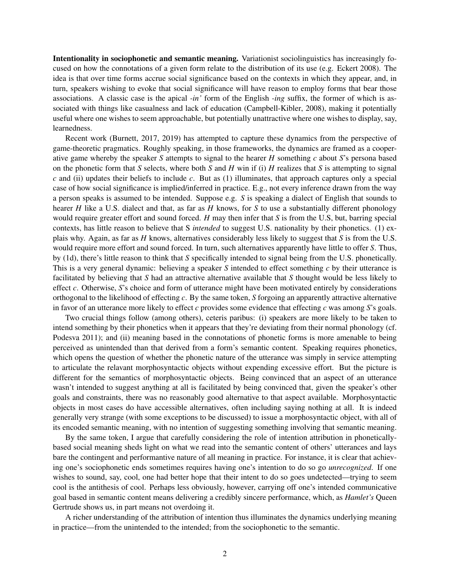Intentionality in sociophonetic and semantic meaning. Variationist sociolinguistics has increasingly focused on how the connotations of a given form relate to the distribution of its use (e.g. [Eckert](#page-2-3) [2008\)](#page-2-3). The idea is that over time forms accrue social significance based on the contexts in which they appear, and, in turn, speakers wishing to evoke that social significance will have reason to employ forms that bear those associations. A classic case is the apical *-in'* form of the English *-ing* suffix, the former of which is associated with things like casualness and lack of education [\(Campbell-Kibler,](#page-2-1) [2008\)](#page-2-1), making it potentially useful where one wishes to seem approachable, but potentially unattractive where one wishes to display, say, learnedness.

Recent work [\(Burnett,](#page-2-4) [2017,](#page-2-4) [2019\)](#page-2-5) has attempted to capture these dynamics from the perspective of game-theoretic pragmatics. Roughly speaking, in those frameworks, the dynamics are framed as a cooperative game whereby the speaker *S* attempts to signal to the hearer *H* something *c* about *S*'s persona based on the phonetic form that *S* selects, where both *S* and *H* win if (i) *H* realizes that *S* is attempting to signal *c* and (ii) updates their beliefs to include *c*. But as [\(1\)](#page-0-0) illuminates, that approach captures only a special case of how social significance is implied/inferred in practice. E.g., not every inference drawn from the way a person speaks is assumed to be intended. Suppose e.g. *S* is speaking a dialect of English that sounds to hearer *H* like a U.S. dialect and that, as far as *H* knows, for *S* to use a substantially different phonology would require greater effort and sound forced. *H* may then infer that *S* is from the U.S, but, barring special contexts, has little reason to believe that S *intended* to suggest U.S. nationality by their phonetics. [\(1\)](#page-0-0) explais why. Again, as far as *H* knows, alternatives considerably less likely to suggest that *S* is from the U.S. would require more effort and sound forced. In turn, such alternatives apparently have little to offer *S*. Thus, by [\(1d\)](#page-0-3), there's little reason to think that *S* specifically intended to signal being from the U.S. phonetically. This is a very general dynamic: believing a speaker *S* intended to effect something *c* by their utterance is facilitated by believing that *S* had an attractive alternative available that *S* thought would be less likely to effect *c*. Otherwise, *S*'s choice and form of utterance might have been motivated entirely by considerations orthogonal to the likelihood of effecting *c*. By the same token, *S* forgoing an apparently attractive alternative in favor of an utterance more likely to effect *c* provides some evidence that effecting *c* was among *S*'s goals.

Two crucial things follow (among others), ceteris paribus: (i) speakers are more likely to be taken to intend something by their phonetics when it appears that they're deviating from their normal phonology (cf. [Podesva](#page-2-6) [2011\)](#page-2-6); and (ii) meaning based in the connotations of phonetic forms is more amenable to being perceived as unintended than that derived from a form's semantic content. Speaking requires phonetics, which opens the question of whether the phonetic nature of the utterance was simply in service attempting to articulate the relavant morphosyntactic objects without expending excessive effort. But the picture is different for the semantics of morphosyntactic objects. Being convinced that an aspect of an utterance wasn't intended to suggest anything at all is facilitated by being convinced that, given the speaker's other goals and constraints, there was no reasonably good alternative to that aspect available. Morphosyntactic objects in most cases do have accessible alternatives, often including saying nothing at all. It is indeed generally very strange (with some exceptions to be discussed) to issue a morphosyntactic object, with all of its encoded semantic meaning, with no intention of suggesting something involving that semantic meaning.

By the same token, I argue that carefully considering the role of intention attribution in phoneticallybased social meaning sheds light on what we read into the semantic content of others' utterances and lays bare the contingent and performantive nature of all meaning in practice. For instance, it is clear that achieving one's sociophonetic ends sometimes requires having one's intention to do so go *unrecognized*. If one wishes to sound, say, cool, one had better hope that their intent to do so goes undetected—trying to seem cool is the antithesis of cool. Perhaps less obviously, however, carrying off one's intended communicative goal based in semantic content means delivering a credibly sincere performance, which, as *Hamlet's* Queen Gertrude shows us, in part means not overdoing it.

A richer understanding of the attribution of intention thus illuminates the dynamics underlying meaning in practice—from the unintended to the intended; from the sociophonetic to the semantic.